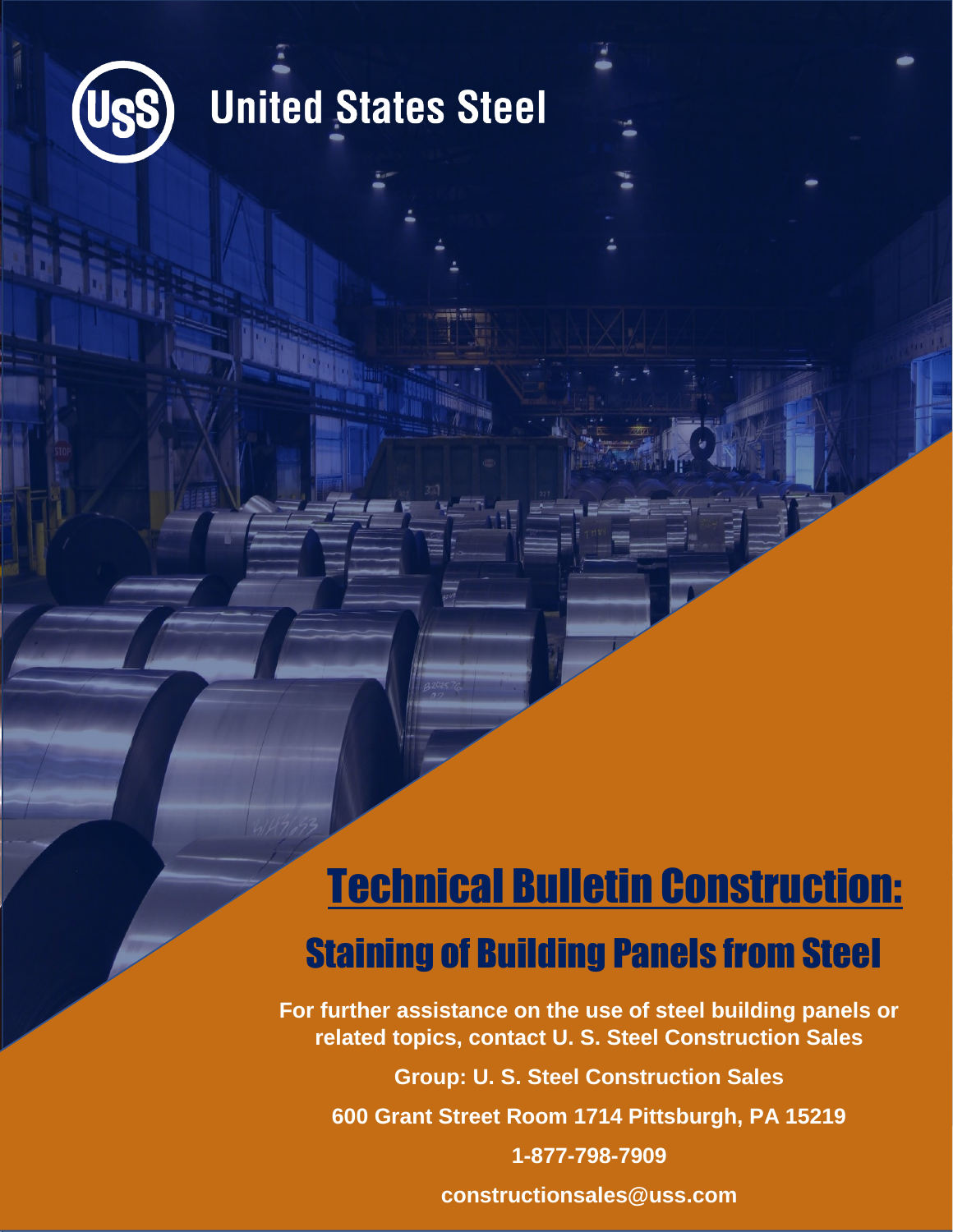

### **United States Steel**

### Technical Bulletin Construction:

### Staining of Building Panels from Steel

**For further assistance on the use of steel building panels or related topics, contact U. S. Steel Construction Sales**

**Group: U. S. Steel Construction Sales**

**600 Grant Street Room 1714 Pittsburgh, PA 15219**

**1-877-798-7909**

**constructionsales@uss.com**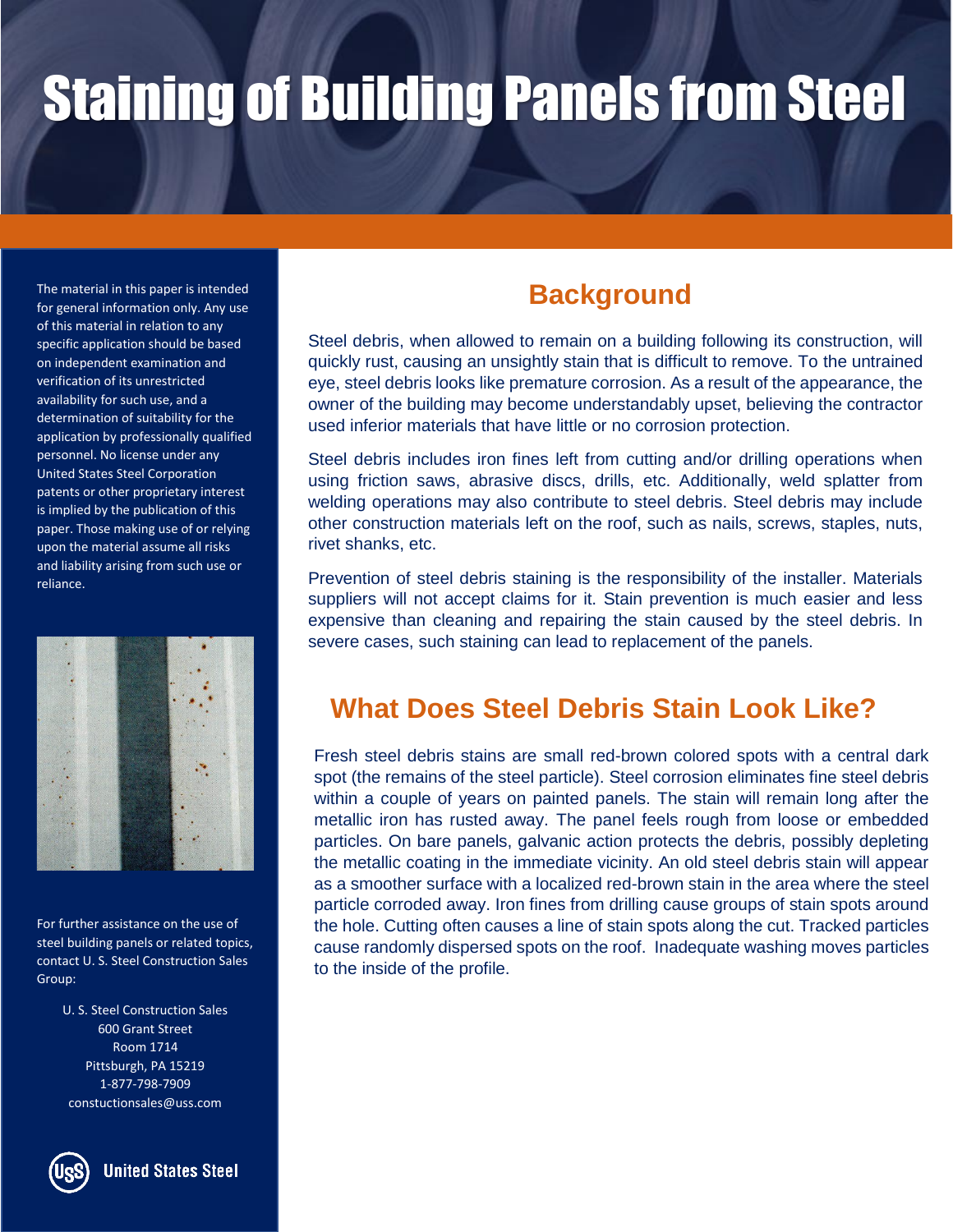Debris

The material in this paper is intended for general information only. Any use of this material in relation to any specific application should be based on independent examination and verification of its unrestricted availability for such use, and a determination of suitability for the application by professionally qualified personnel. No license under any United States Steel Corporation patents or other proprietary interest is implied by the publication of this paper. Those making use of or relying upon the material assume all risks and liability arising from such use or reliance.



For further assistance on the use of steel building panels or related topics, contact U. S. Steel Construction Sales Group:

> U. S. Steel Construction Sales 600 Grant Street Room 1714 Pittsburgh, PA 15219 1-877-798-7909 constuctionsales@uss.com



**United States Steel** 

#### **Background**

Steel debris, when allowed to remain on a building following its construction, will quickly rust, causing an unsightly stain that is difficult to remove. To the untrained eye, steel debris looks like premature corrosion. As a result of the appearance, the owner of the building may become understandably upset, believing the contractor used inferior materials that have little or no corrosion protection.

Steel debris includes iron fines left from cutting and/or drilling operations when using friction saws, abrasive discs, drills, etc. Additionally, weld splatter from welding operations may also contribute to steel debris. Steel debris may include other construction materials left on the roof, such as nails, screws, staples, nuts, rivet shanks, etc.

Prevention of steel debris staining is the responsibility of the installer. Materials suppliers will not accept claims for it. Stain prevention is much easier and less expensive than cleaning and repairing the stain caused by the steel debris. In severe cases, such staining can lead to replacement of the panels.

#### **What Does Steel Debris Stain Look Like?**

Fresh steel debris stains are small red-brown colored spots with a central dark spot (the remains of the steel particle). Steel corrosion eliminates fine steel debris within a couple of years on painted panels. The stain will remain long after the metallic iron has rusted away. The panel feels rough from loose or embedded particles. On bare panels, galvanic action protects the debris, possibly depleting the metallic coating in the immediate vicinity. An old steel debris stain will appear as a smoother surface with a localized red-brown stain in the area where the steel particle corroded away. Iron fines from drilling cause groups of stain spots around the hole. Cutting often causes a line of stain spots along the cut. Tracked particles cause randomly dispersed spots on the roof. Inadequate washing moves particles to the inside of the profile.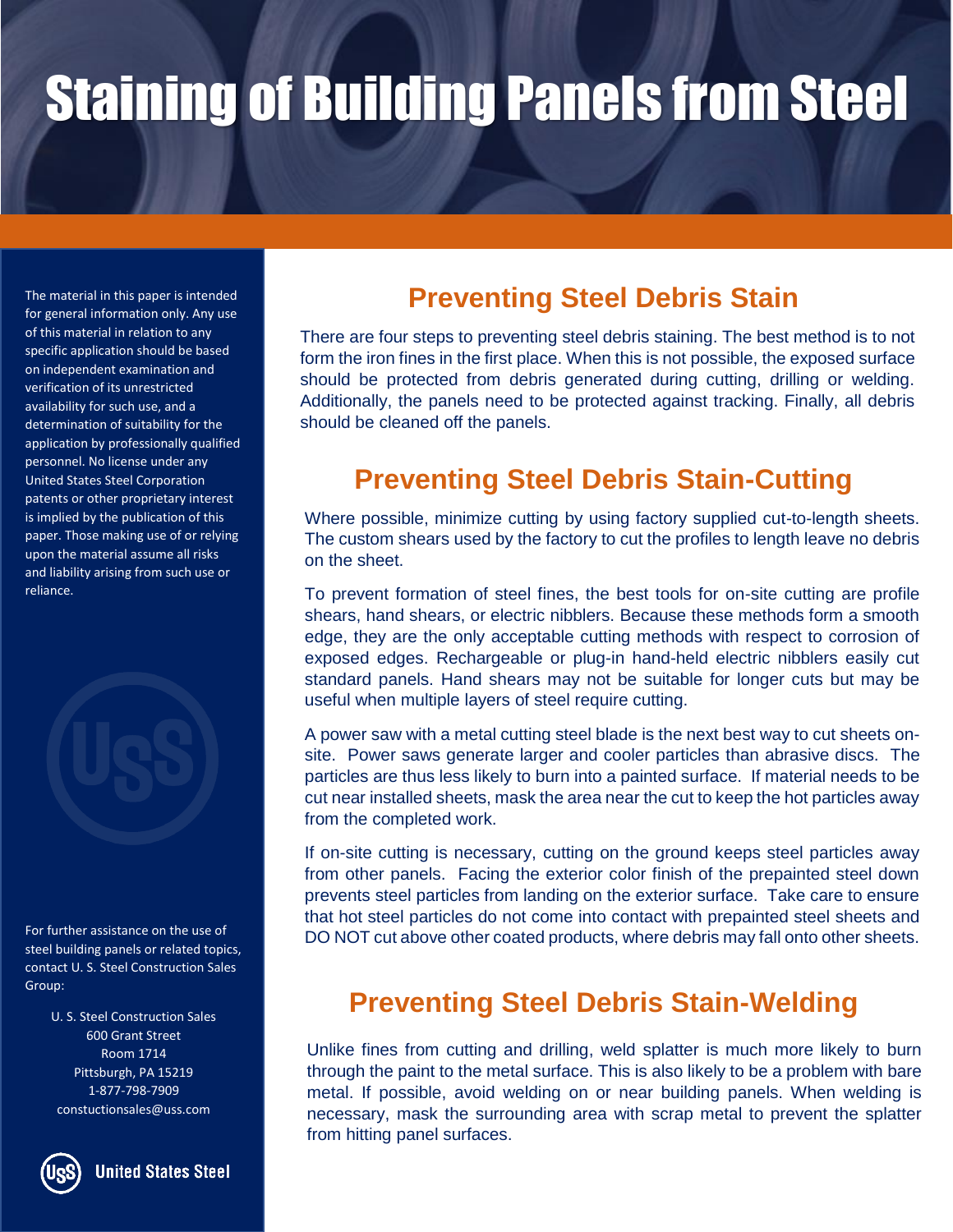Debris

of this material in relation to any specific application should be based on independent examination and verification of its unrestricted availability for such use, and a determination of suitability for the application by professionally qualified personnel. No license under any United States Steel Corporation patents or other proprietary interest is implied by the publication of this paper. Those making use of or relying upon the material assume all risks and liability arising from such use or reliance.

For further assistance on the use of steel building panels or related topics, contact U. S. Steel Construction Sales Group:

> U. S. Steel Construction Sales 600 Grant Street Room 1714 Pittsburgh, PA 15219 1-877-798-7909 constuctionsales@uss.com



**United States Steel** 

### The material in this paper is intended **Preventing Steel Debris Stain** for general information only. Any use

There are four steps to preventing steel debris staining. The best method is to not form the iron fines in the first place. When this is not possible, the exposed surface should be protected from debris generated during cutting, drilling or welding. Additionally, the panels need to be protected against tracking. Finally, all debris should be cleaned off the panels.

#### **Preventing Steel Debris Stain-Cutting**

Where possible, minimize cutting by using factory supplied cut-to-length sheets. The custom shears used by the factory to cut the profiles to length leave no debris on the sheet.

To prevent formation of steel fines, the best tools for on-site cutting are profile shears, hand shears, or electric nibblers. Because these methods form a smooth edge, they are the only acceptable cutting methods with respect to corrosion of exposed edges. Rechargeable or plug-in hand-held electric nibblers easily cut standard panels. Hand shears may not be suitable for longer cuts but may be useful when multiple layers of steel require cutting.

A power saw with a metal cutting steel blade is the next best way to cut sheets onsite. Power saws generate larger and cooler particles than abrasive discs. The particles are thus less likely to burn into a painted surface. If material needs to be cut near installed sheets, mask the area near the cut to keep the hot particles away from the completed work.

If on-site cutting is necessary, cutting on the ground keeps steel particles away from other panels. Facing the exterior color finish of the prepainted steel down prevents steel particles from landing on the exterior surface. Take care to ensure that hot steel particles do not come into contact with prepainted steel sheets and DO NOT cut above other coated products, where debris may fall onto other sheets.

#### **Preventing Steel Debris Stain-Welding**

Unlike fines from cutting and drilling, weld splatter is much more likely to burn through the paint to the metal surface. This is also likely to be a problem with bare metal. If possible, avoid welding on or near building panels. When welding is necessary, mask the surrounding area with scrap metal to prevent the splatter from hitting panel surfaces.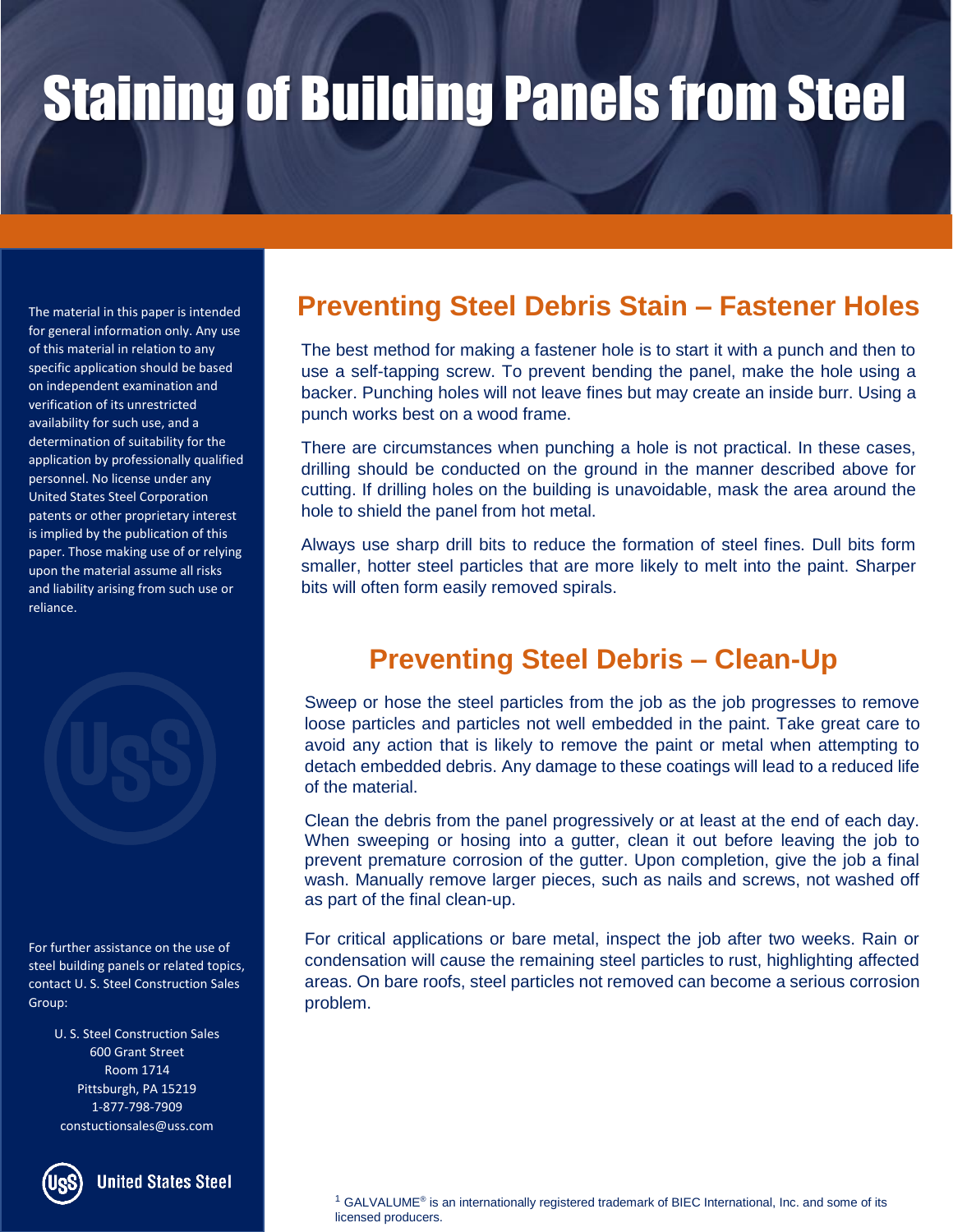Debris

The material in this paper is intended for general information only. Any use of this material in relation to any specific application should be based on independent examination and verification of its unrestricted availability for such use, and a determination of suitability for the application by professionally qualified personnel. No license under any United States Steel Corporation patents or other proprietary interest is implied by the publication of this paper. Those making use of or relying upon the material assume all risks and liability arising from such use or reliance.

For further assistance on the use of steel building panels or related topics, contact U. S. Steel Construction Sales Group:

> U. S. Steel Construction Sales 600 Grant Street Room 1714 Pittsburgh, PA 15219 1-877-798-7909 constuctionsales@uss.com

**United States Steel** 

#### **Preventing Steel Debris Stain – Fastener Holes**

The best method for making a fastener hole is to start it with a punch and then to use a self-tapping screw. To prevent bending the panel, make the hole using a backer. Punching holes will not leave fines but may create an inside burr. Using a punch works best on a wood frame.

There are circumstances when punching a hole is not practical. In these cases, drilling should be conducted on the ground in the manner described above for cutting. If drilling holes on the building is unavoidable, mask the area around the hole to shield the panel from hot metal.

Always use sharp drill bits to reduce the formation of steel fines. Dull bits form smaller, hotter steel particles that are more likely to melt into the paint. Sharper bits will often form easily removed spirals.

#### **Preventing Steel Debris – Clean-Up**

Sweep or hose the steel particles from the job as the job progresses to remove loose particles and particles not well embedded in the paint. Take great care to avoid any action that is likely to remove the paint or metal when attempting to detach embedded debris. Any damage to these coatings will lead to a reduced life of the material.

Clean the debris from the panel progressively or at least at the end of each day. When sweeping or hosing into a gutter, clean it out before leaving the job to prevent premature corrosion of the gutter. Upon completion, give the job a final wash. Manually remove larger pieces, such as nails and screws, not washed off as part of the final clean-up.

For critical applications or bare metal, inspect the job after two weeks. Rain or condensation will cause the remaining steel particles to rust, highlighting affected areas. On bare roofs, steel particles not removed can become a serious corrosion problem.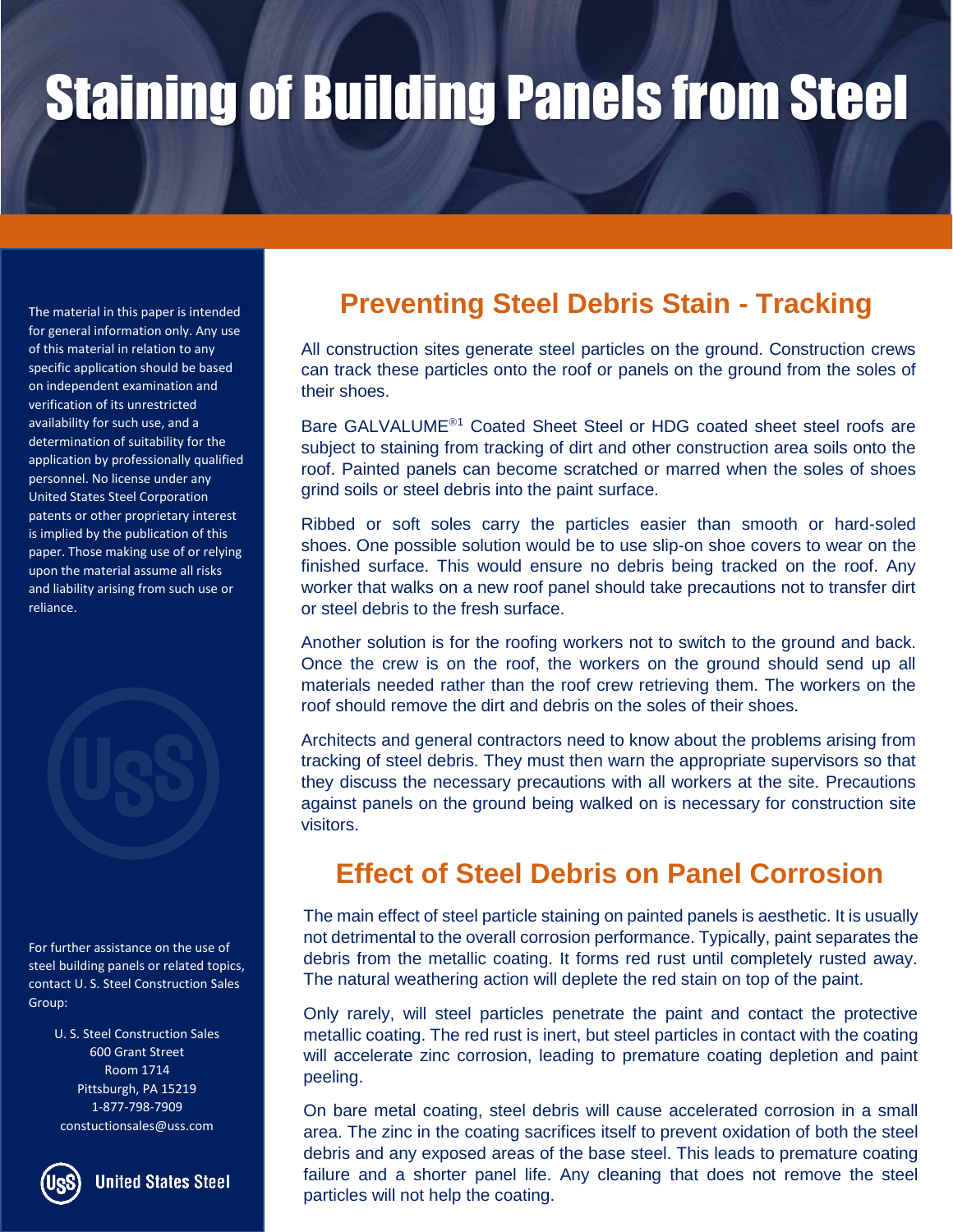Debris

The material in this paper is intended for general information only. Any use of this material in relation to any specific application should be based on independent examination and verification of its unrestricted availability for such use, and a determination of suitability for the application by professionally qualified personnel. No license under any United States Steel Corporation patents or other proprietary interest is implied by the publication of this paper. Those making use of or relying upon the material assume all risks and liability arising from such use or reliance.

For further assistance on the use of steel building panels or related topics, contact U. S. Steel Construction Sales Group:

> U. S. Steel Construction Sales 600 Grant Street Room 1714 Pittsburgh, PA 15219 1-877-798-7909 constuctionsales@uss.com



**United States Steel** 

#### **Preventing Steel Debris Stain - Tracking**

All construction sites generate steel particles on the ground. Construction crews can track these particles onto the roof or panels on the ground from the soles of their shoes.

Bare GALVALUME<sup>®1</sup> Coated Sheet Steel or HDG coated sheet steel roofs are subject to staining from tracking of dirt and other construction area soils onto the roof. Painted panels can become scratched or marred when the soles of shoes grind soils or steel debris into the paint surface.

Ribbed or soft soles carry the particles easier than smooth or hard-soled shoes. One possible solution would be to use slip-on shoe covers to wear on the finished surface. This would ensure no debris being tracked on the roof. Any worker that walks on a new roof panel should take precautions not to transfer dirt or steel debris to the fresh surface.

Another solution is for the roofing workers not to switch to the ground and back. Once the crew is on the roof, the workers on the ground should send up all materials needed rather than the roof crew retrieving them. The workers on the roof should remove the dirt and debris on the soles of their shoes.

Architects and general contractors need to know about the problems arising from tracking of steel debris. They must then warn the appropriate supervisors so that they discuss the necessary precautions with all workers at the site. Precautions against panels on the ground being walked on is necessary for construction site visitors.

#### **Effect of Steel Debris on Panel Corrosion**

The main effect of steel particle staining on painted panels is aesthetic. It is usually not detrimental to the overall corrosion performance. Typically, paint separates the debris from the metallic coating. It forms red rust until completely rusted away. The natural weathering action will deplete the red stain on top of the paint.

Only rarely, will steel particles penetrate the paint and contact the protective metallic coating. The red rust is inert, but steel particles in contact with the coating will accelerate zinc corrosion, leading to premature coating depletion and paint peeling.

On bare metal coating, steel debris will cause accelerated corrosion in a small area. The zinc in the coating sacrifices itself to prevent oxidation of both the steel debris and any exposed areas of the base steel. This leads to premature coating failure and a shorter panel life. Any cleaning that does not remove the steel particles will not help the coating.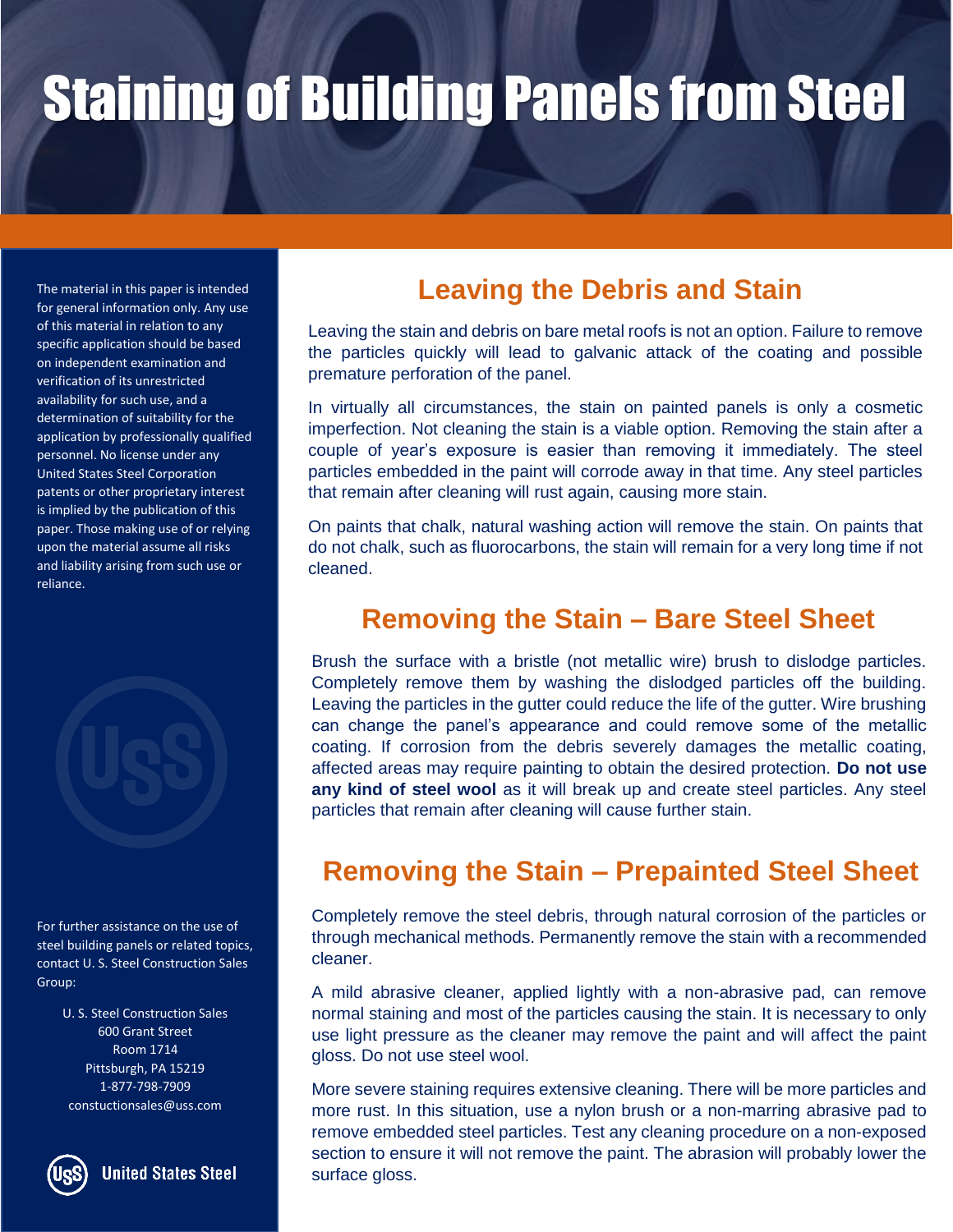Debris

The material in this paper is intended for general information only. Any use of this material in relation to any specific application should be based on independent examination and verification of its unrestricted availability for such use, and a determination of suitability for the application by professionally qualified personnel. No license under any United States Steel Corporation patents or other proprietary interest is implied by the publication of this paper. Those making use of or relying upon the material assume all risks and liability arising from such use or reliance.



For further assistance on the use of steel building panels or related topics, contact U. S. Steel Construction Sales Group:

> U. S. Steel Construction Sales 600 Grant Street Room 1714 Pittsburgh, PA 15219 1-877-798-7909 constuctionsales@uss.com



**United States Steel** 

#### **Leaving the Debris and Stain**

Leaving the stain and debris on bare metal roofs is not an option. Failure to remove the particles quickly will lead to galvanic attack of the coating and possible premature perforation of the panel.

In virtually all circumstances, the stain on painted panels is only a cosmetic imperfection. Not cleaning the stain is a viable option. Removing the stain after a couple of year's exposure is easier than removing it immediately. The steel particles embedded in the paint will corrode away in that time. Any steel particles that remain after cleaning will rust again, causing more stain.

On paints that chalk, natural washing action will remove the stain. On paints that do not chalk, such as fluorocarbons, the stain will remain for a very long time if not cleaned.

#### **Removing the Stain – Bare Steel Sheet**

Brush the surface with a bristle (not metallic wire) brush to dislodge particles. Completely remove them by washing the dislodged particles off the building. Leaving the particles in the gutter could reduce the life of the gutter. Wire brushing can change the panel's appearance and could remove some of the metallic coating. If corrosion from the debris severely damages the metallic coating, affected areas may require painting to obtain the desired protection. **Do not use any kind of steel wool** as it will break up and create steel particles. Any steel particles that remain after cleaning will cause further stain.

#### **Removing the Stain – Prepainted Steel Sheet**

Completely remove the steel debris, through natural corrosion of the particles or through mechanical methods. Permanently remove the stain with a recommended cleaner.

A mild abrasive cleaner, applied lightly with a non-abrasive pad, can remove normal staining and most of the particles causing the stain. It is necessary to only use light pressure as the cleaner may remove the paint and will affect the paint gloss. Do not use steel wool.

More severe staining requires extensive cleaning. There will be more particles and more rust. In this situation, use a nylon brush or a non-marring abrasive pad to remove embedded steel particles. Test any cleaning procedure on a non-exposed section to ensure it will not remove the paint. The abrasion will probably lower the surface gloss.